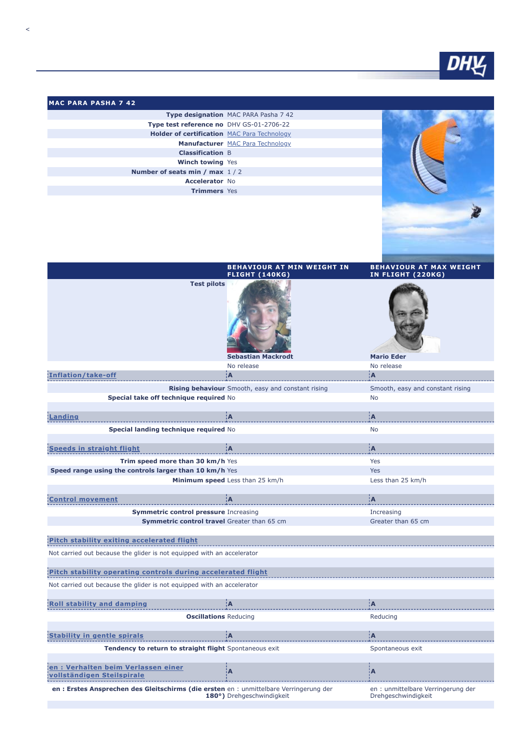

| <b>IMAC PARA PASHA 7 42</b>                 |                                         |
|---------------------------------------------|-----------------------------------------|
|                                             | Type designation MAC PARA Pasha 7 42    |
| Type test reference no DHV GS-01-2706-22    |                                         |
| Holder of certification MAC Para Technology |                                         |
|                                             | <b>Manufacturer</b> MAC Para Technology |
| <b>Classification B</b>                     |                                         |
| <b>Winch towing Yes</b>                     |                                         |
| Number of seats min / max 1/2               |                                         |
| <b>Accelerator No</b>                       |                                         |
| <b>Trimmers</b> Yes                         |                                         |
|                                             |                                         |

|                                                                                            | <b>BEHAVIOUR AT MIN WEIGHT IN</b><br><b>FLIGHT (140KG)</b> | <b>BEHAVIOUR AT MAX WEIGHT</b><br><b>IN FLIGHT (220KG)</b> |
|--------------------------------------------------------------------------------------------|------------------------------------------------------------|------------------------------------------------------------|
| <b>Test pilots</b>                                                                         | <b>Sebastian Mackrodt</b>                                  | <b>Mario Eder</b>                                          |
|                                                                                            | No release                                                 | No release                                                 |
| Inflation/take-off                                                                         | ¦A                                                         | łА.                                                        |
|                                                                                            | Rising behaviour Smooth, easy and constant rising          | Smooth, easy and constant rising                           |
| Special take off technique required No                                                     |                                                            | No                                                         |
| Landing                                                                                    | ÌА.                                                        | ÎА.                                                        |
|                                                                                            |                                                            |                                                            |
| Special landing technique required No                                                      |                                                            | <b>No</b>                                                  |
| <b>Speeds in straight flight</b>                                                           | ¦А                                                         | iА                                                         |
|                                                                                            |                                                            |                                                            |
| Trim speed more than 30 km/h Yes<br>Speed range using the controls larger than 10 km/h Yes |                                                            | Yes<br>Yes                                                 |
|                                                                                            | Minimum speed Less than 25 km/h                            | Less than 25 km/h                                          |
|                                                                                            |                                                            |                                                            |
| <b>Control movement</b>                                                                    | ÌА.                                                        | ÌА.                                                        |
| <b>Symmetric control pressure Increasing</b>                                               |                                                            | Increasing                                                 |
| Symmetric control travel Greater than 65 cm                                                |                                                            | Greater than 65 cm                                         |
|                                                                                            |                                                            |                                                            |
| Pitch stability exiting accelerated flight                                                 |                                                            |                                                            |
| Not carried out because the glider is not equipped with an accelerator                     |                                                            |                                                            |
|                                                                                            |                                                            |                                                            |
| Pitch stability operating controls during accelerated flight                               |                                                            |                                                            |
| Not carried out because the glider is not equipped with an accelerator                     |                                                            |                                                            |
| <b>Roll stability and damping</b>                                                          | :A                                                         | ÌА.                                                        |
|                                                                                            |                                                            |                                                            |
| <b>Oscillations Reducing</b>                                                               |                                                            | Reducing                                                   |
| <b>Stability in gentle spirals</b>                                                         | ÌА                                                         | ÌА.                                                        |
| Tendency to return to straight flight Spontaneous exit                                     |                                                            | Spontaneous exit                                           |
|                                                                                            |                                                            |                                                            |
| en : Verhalten beim Verlassen einer<br>vollständigen Steilspirale                          | A                                                          | A                                                          |
| en : Erstes Ansprechen des Gleitschirms (die ersten en : unmittelbare Verringerung der     | 180°) Drehgeschwindigkeit                                  | en : unmittelbare Verringerung der<br>Drehgeschwindigkeit  |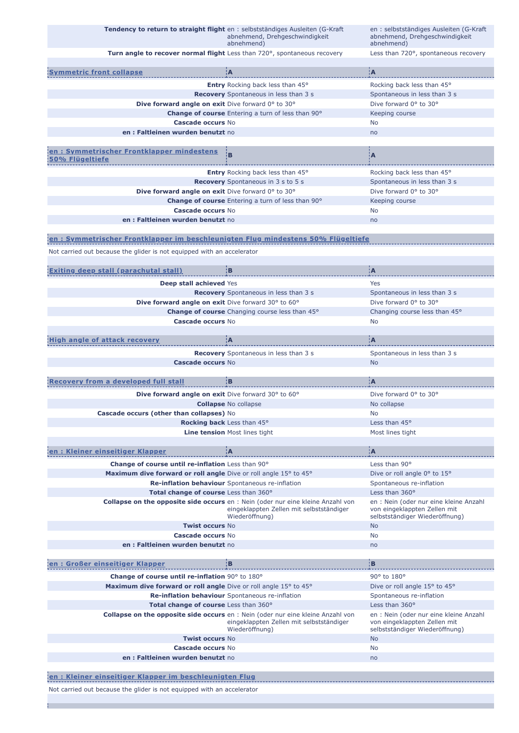| Tendency to return to straight flight en : selbstständiges Ausleiten (G-Kraft             | abnehmend, Drehgeschwindigkeit<br>abnehmend)                                                                                                         | en : selbstständiges Ausleiten (G-Kraft<br>abnehmend, Drehgeschwindigkeit<br>abnehmend)                                    |
|-------------------------------------------------------------------------------------------|------------------------------------------------------------------------------------------------------------------------------------------------------|----------------------------------------------------------------------------------------------------------------------------|
|                                                                                           | Turn angle to recover normal flight Less than 720°, spontaneous recovery                                                                             | Less than 720°, spontaneous recovery                                                                                       |
| <u>Symmetric front collapse</u>                                                           | ¦А                                                                                                                                                   | ¦А                                                                                                                         |
|                                                                                           | Entry Rocking back less than 45°                                                                                                                     | Rocking back less than 45°                                                                                                 |
|                                                                                           | <b>Recovery</b> Spontaneous in less than 3 s                                                                                                         | Spontaneous in less than 3 s                                                                                               |
| Dive forward angle on exit Dive forward 0° to 30°                                         |                                                                                                                                                      | Dive forward 0° to 30°                                                                                                     |
|                                                                                           | <b>Change of course</b> Entering a turn of less than 90°                                                                                             | Keeping course                                                                                                             |
| Cascade occurs No                                                                         |                                                                                                                                                      | No                                                                                                                         |
| en: Faltleinen wurden benutzt no                                                          |                                                                                                                                                      | no                                                                                                                         |
| en: Symmetrischer Frontklapper mindestens<br>50% Flügeltiefe                              | B                                                                                                                                                    | ۰Ā                                                                                                                         |
|                                                                                           | <b>Entry</b> Rocking back less than 45°                                                                                                              | Rocking back less than 45°                                                                                                 |
|                                                                                           | <b>Recovery</b> Spontaneous in 3 s to 5 s                                                                                                            | Spontaneous in less than 3 s                                                                                               |
| Dive forward angle on exit Dive forward 0° to 30°                                         |                                                                                                                                                      | Dive forward 0° to 30°                                                                                                     |
|                                                                                           | <b>Change of course</b> Entering a turn of less than 90°                                                                                             | Keeping course                                                                                                             |
| <b>Cascade occurs No</b>                                                                  |                                                                                                                                                      | No.                                                                                                                        |
| en: Faltleinen wurden benutzt no                                                          |                                                                                                                                                      | no                                                                                                                         |
|                                                                                           |                                                                                                                                                      |                                                                                                                            |
| <u>¦en : Symmetrischer Frontklapper im beschleunigten Flug mindestens 50% Flügeltiefe</u> |                                                                                                                                                      |                                                                                                                            |
| Not carried out because the glider is not equipped with an accelerator                    |                                                                                                                                                      |                                                                                                                            |
|                                                                                           |                                                                                                                                                      |                                                                                                                            |
| <b>Exiting deep stall (parachutal stall)</b>                                              | įв                                                                                                                                                   | įА.                                                                                                                        |
| Deep stall achieved Yes                                                                   |                                                                                                                                                      | Yes                                                                                                                        |
|                                                                                           | <b>Recovery</b> Spontaneous in less than 3 s                                                                                                         | Spontaneous in less than 3 s                                                                                               |
| Dive forward angle on exit Dive forward 30° to 60°                                        |                                                                                                                                                      | Dive forward 0° to 30°                                                                                                     |
|                                                                                           | <b>Change of course</b> Changing course less than 45°                                                                                                | Changing course less than 45°                                                                                              |
| <b>Cascade occurs No</b>                                                                  |                                                                                                                                                      | <b>No</b>                                                                                                                  |
|                                                                                           |                                                                                                                                                      |                                                                                                                            |
| <b>High angle of attack recovery</b>                                                      | <b>A</b>                                                                                                                                             | <b>A</b>                                                                                                                   |
|                                                                                           | <b>Recovery</b> Spontaneous in less than 3 s                                                                                                         | Spontaneous in less than 3 s                                                                                               |
| <b>Cascade occurs No</b>                                                                  |                                                                                                                                                      | <b>No</b>                                                                                                                  |
|                                                                                           |                                                                                                                                                      |                                                                                                                            |
| <b>Recovery from a developed full stall</b>                                               | ¦В                                                                                                                                                   | A:                                                                                                                         |
|                                                                                           |                                                                                                                                                      | Dive forward 0° to 30°                                                                                                     |
|                                                                                           |                                                                                                                                                      |                                                                                                                            |
| Dive forward angle on exit Dive forward 30° to 60°                                        |                                                                                                                                                      |                                                                                                                            |
|                                                                                           | <b>Collapse No collapse</b>                                                                                                                          | No collapse                                                                                                                |
| Cascade occurs (other than collapses) No                                                  |                                                                                                                                                      | No.                                                                                                                        |
|                                                                                           | <b>Rocking back</b> Less than 45°                                                                                                                    | Less than 45°                                                                                                              |
|                                                                                           | <b>Line tension Most lines tight</b>                                                                                                                 | Most lines tight                                                                                                           |
|                                                                                           |                                                                                                                                                      |                                                                                                                            |
| en: Kleiner einseitiger Klapper                                                           | ÌА                                                                                                                                                   | ¦A                                                                                                                         |
| Change of course until re-inflation Less than 90°                                         |                                                                                                                                                      | Less than 90°                                                                                                              |
| Maximum dive forward or roll angle Dive or roll angle 15° to 45°                          |                                                                                                                                                      | Dive or roll angle 0° to 15°                                                                                               |
|                                                                                           | Re-inflation behaviour Spontaneous re-inflation                                                                                                      | Spontaneous re-inflation                                                                                                   |
| Total change of course Less than 360°                                                     | <b>Collapse on the opposite side occurs</b> en : Nein (oder nur eine kleine Anzahl von<br>eingeklappten Zellen mit selbstständiger<br>Wiederöffnung) | Less than 360°<br>en : Nein (oder nur eine kleine Anzahl<br>von eingeklappten Zellen mit<br>selbstständiger Wiederöffnung) |
| <b>Twist occurs No</b>                                                                    |                                                                                                                                                      | <b>No</b>                                                                                                                  |
| Cascade occurs No                                                                         |                                                                                                                                                      | No                                                                                                                         |
| en : Faltleinen wurden benutzt no                                                         |                                                                                                                                                      | no                                                                                                                         |
| en: Großer einseitiger Klapper                                                            | ΕВ                                                                                                                                                   | ¦B                                                                                                                         |
| Change of course until re-inflation 90° to 180°                                           |                                                                                                                                                      | 90° to 180°                                                                                                                |
| Maximum dive forward or roll angle Dive or roll angle 15° to 45°                          |                                                                                                                                                      | Dive or roll angle 15° to 45°                                                                                              |
|                                                                                           | Re-inflation behaviour Spontaneous re-inflation                                                                                                      | Spontaneous re-inflation                                                                                                   |
| Total change of course Less than 360°                                                     |                                                                                                                                                      | Less than 360°                                                                                                             |
|                                                                                           | <b>Collapse on the opposite side occurs</b> en : Nein (oder nur eine kleine Anzahl von<br>eingeklappten Zellen mit selbstständiger<br>Wiederöffnung) | en : Nein (oder nur eine kleine Anzahl<br>von eingeklappten Zellen mit<br>selbstständiger Wiederöffnung)                   |
| <b>Twist occurs No</b>                                                                    |                                                                                                                                                      | <b>No</b>                                                                                                                  |
| <b>Cascade occurs No</b>                                                                  |                                                                                                                                                      | No                                                                                                                         |
| en: Faltleinen wurden benutzt no                                                          |                                                                                                                                                      | no                                                                                                                         |
|                                                                                           |                                                                                                                                                      |                                                                                                                            |
| en: Kleiner einseitiger Klapper im beschleunigten Flug                                    |                                                                                                                                                      |                                                                                                                            |

Not carried out because the glider is not equipped with an accelerator